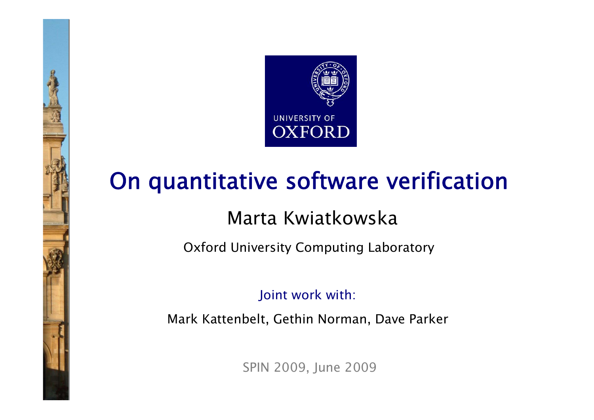

# On quantitative software verification

#### Marta Kwiatkowska

Oxford University Computing Laboratory

Joint work with:

Mark Kattenbelt, Gethin Norman, Dave Parker

SPIN 2009, June 2009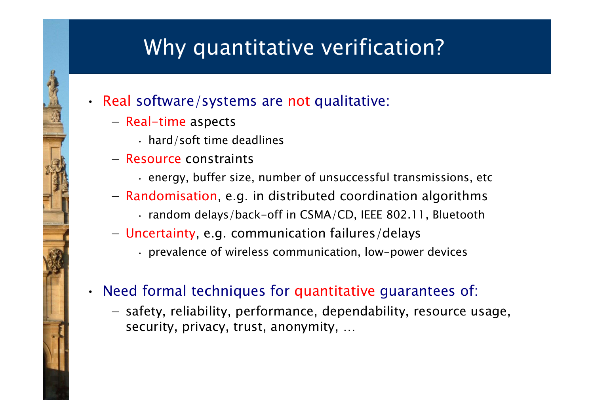### Why quantitative verification?

#### • Real software/systems are not qualitative:

- −- Real-time aspects
	- hard/soft time deadlines
- − Resource constraints
	- energy, buffer size, number of unsuccessful transmissions, etc
- −- Randomisation, e.g. in distributed coordination algorithms
	- random delays/back-off in CSMA/CD, IEEE 802.11, Bluetooth
- Uncertainty, e.g. communication failures/delays
	- prevalence of wireless communication, low-power devices

#### • Need formal techniques for quantitative guarantees of:

- safety, reliability, performance, dependability, resource usage, security, privacy, trust, anonymity, …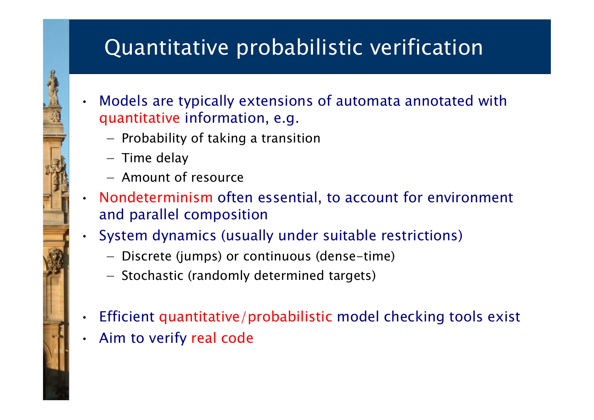### Quantitative probabilistic verification

- Models are typically extensions of automata annotated with quantitative information, e.g.
	- Probability of taking a transition
	- Time delay

•

- − Amount of resource
- • Nondeterminism often essential, to account for environment and parallel composition
- • System dynamics (usually under suitable restrictions)
	- Discrete (jumps) or continuous (dense-time)
	- Stochastic (randomly determined targets)
- •Efficient quantitative/probabilistic model checking tools exist
- •Aim to verify real code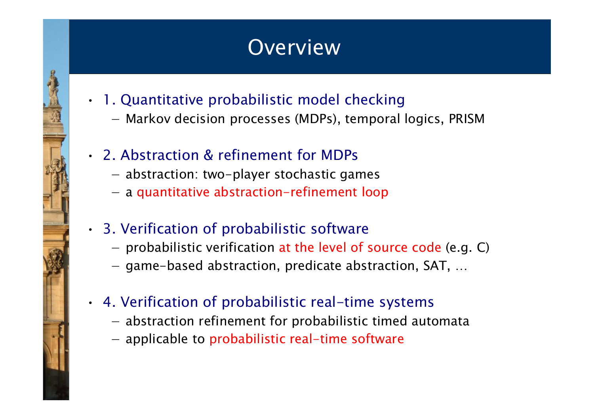#### **Overview**

- 1. Quantitative probabilistic model checking
	- Markov decision processes (MDPs), temporal logics, PRISM
- 2. Abstraction & refinement for MDPs
	- abstraction: two-player stochastic games
	- a quantitative abstraction-refinement loop
- 3. Verification of probabilistic software
	- probabilistic verification at the level of source code (e.g. C)
	- game-based abstraction, predicate abstraction, SAT, …
- 4. Verification of probabilistic real-time systems
	- abstraction refinement for probabilistic timed automata
	- applicable to probabilistic real-time software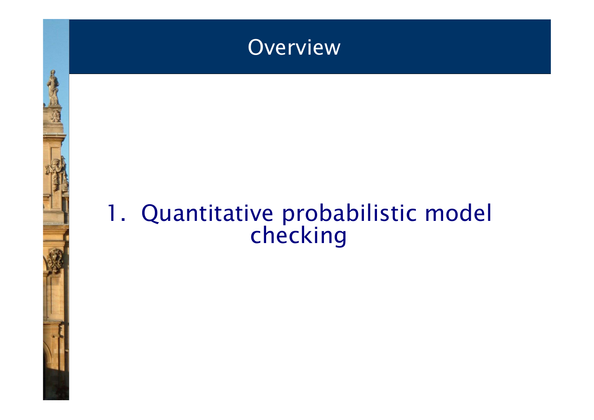

## 1. Quantitative probabilistic model checking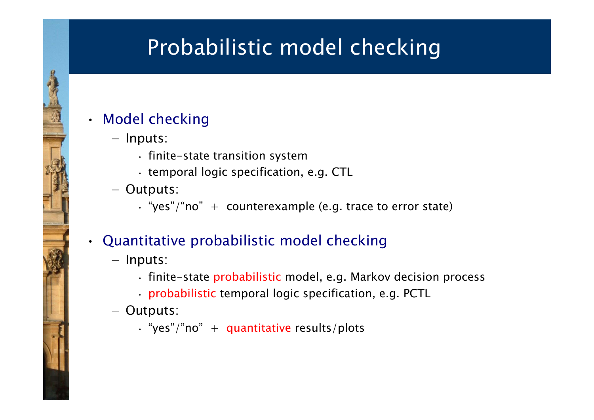### Probabilistic model checking

#### • Model checking

- − Inputs:
	- finite-state transition system
	- temporal logic specification, e.g. CTL
- − Outputs:
	- "yes"/"no" + counterexample (e.g. trace to error state)

#### Quantitative probabilistic model checking

− Inputs:

•

- finite-state probabilistic model, e.g. Markov decision process
- probabilistic temporal logic specification, e.g. PCTL
- − Outputs:
	- $\cdot$  "yes"/"no" + quantitative results/plots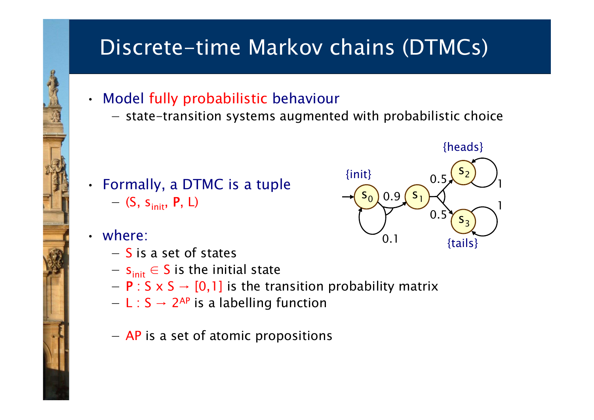### Discrete-time Markov chains (DTMCs)

- Model fully probabilistic behaviour
	- −- state-transition systems augmented with probabilistic choice



• where:

- −S is a set of states
- $-$  s<sub>init</sub>  $\in$  S is the initial state
- − P : S x S → [0,1] is the transition probability matrix
- − L : S → 2AP is a labelling function
- $-$  AP is a set of atomic propositions

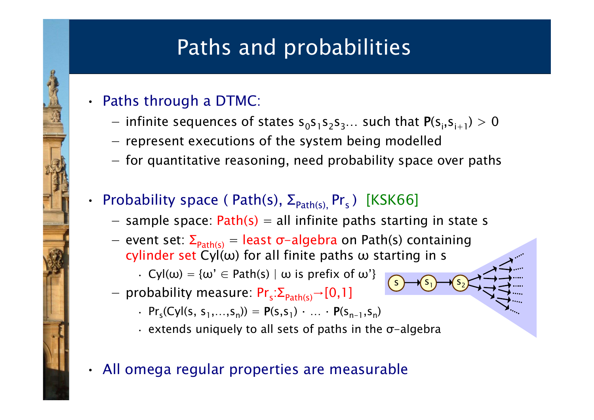### Paths and probabilities

#### • Paths through a DTMC:

•

- −- infinite sequences of states  $s_0s_1s_2s_3...$  such that  $P(s_i,s_{i+1}) > 0$
- $-$  represent executions of the system being modelled
- for quantitative reasoning, need probability space over paths

#### • Probability space ( Path(s),  $\Sigma_{\text{Path}(s)}$ , Pr<sub>s</sub>) [KSK66]

- sample space:  $Path(s) = all$  infinite paths starting in state s

 ${\sf s}_1$ 

 $2^{17}$ 

s

 $_{1}$   $\rightarrow$  (s

- event set: Σ<sub>path(s)</sub> = least σ−algebra on Path(s) containing cylinder set Cyl( $\omega$ ) for all finite paths  $\omega$  starting in s
	- $\cdot$  Cyl( $\omega$ ) = { $\omega' \in$  Path(s) |  $\omega$  is prefix of  $\omega'$ }
- $−$  probability measure: Pr<sub>s</sub>:  $\Sigma_{\mathsf{Path}(s)}$  → [0,1]
	- $\cdot$  Pr<sub>s</sub>(Cyl(s, s<sub>1</sub>,...,s<sub>n</sub>)) = P(s,s<sub>1</sub>)  $\cdot$  ...  $\cdot$  P(s<sub>n-1</sub>,s<sub>n</sub>)
	- extends uniquely to all sets of paths in the <sup>σ</sup>-algebra
- All omega regular properties are measurable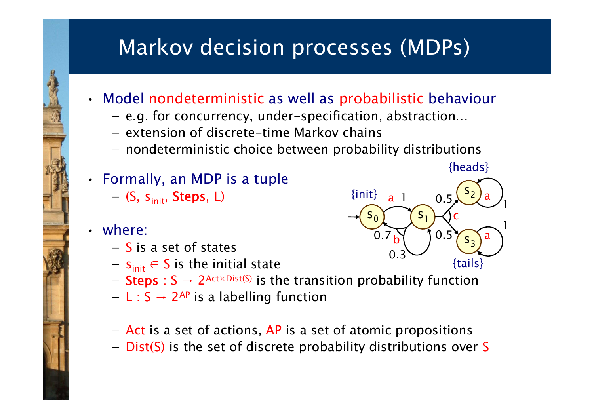### Markov decision processes (MDPs)

- Model nondeterministic as well as probabilistic behaviour
	- −e.g. for concurrency, under-specification, abstraction…
	- − extension of discrete-time Markov chains
	- nondeterministic choice between probability distributions
- Formally, an MDP is a tuple
	- $-$  (S, s<sub>init</sub>, Steps, L)
	- where:

•

- −S is a set of states
- $-$  s<sub>init</sub>  $\in$  S is the initial state
- Steps : S → 2<sup>Act×Dist(S)</sup> is the transition probability function
- − L : S → 2AP is a labelling function
- Act is a set of actions, AP is a set of atomic propositions
- Dist(S) is the set of discrete probability distributions over S

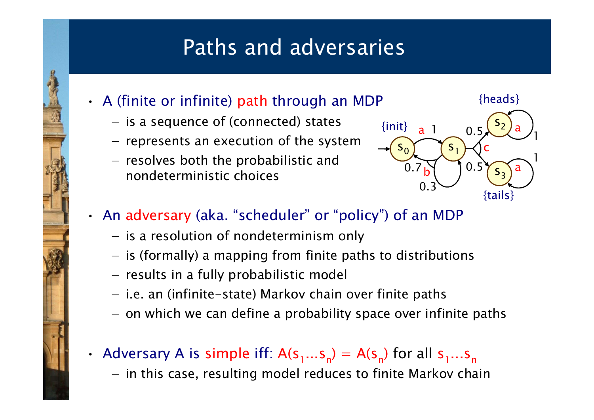#### Paths and adversaries

- A (finite or infinite) path through an MDP
	- − $-$  is a sequence of (connected) states
	- $-$  represents an execution of the system
	- $-$  resolves both the probabilistic and nondeterministic choices



#### • An adversary (aka. "scheduler" or "policy") of an MDP

- $-$  is a resolution of nondeterminism only
- $-$  is (formally) a mapping from finite paths to distributions
- results in a fully probabilistic model
- i.e. an (infinite-state) Markov chain over finite paths
- $-$  on which we can define a probability space over infinite paths
- •• Adversary A is simple iff:  $A(s_1...s_n) = A(s_n)$  for all  $s_1...s_n$ 
	- $-$  in this case, resulting model reduces to finite Markov chain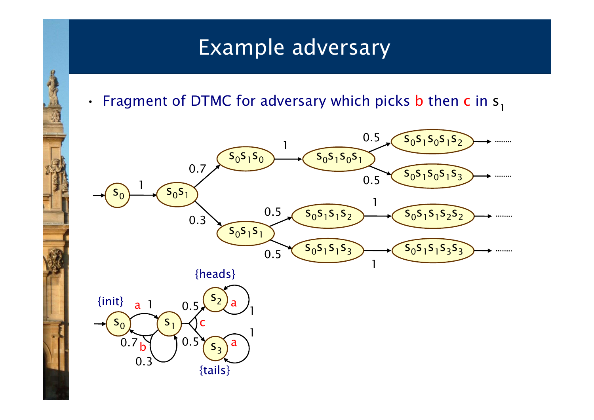#### Example adversary

•• Fragment of DTMC for adversary which picks **b** then **c** in  $s<sub>1</sub>$ 

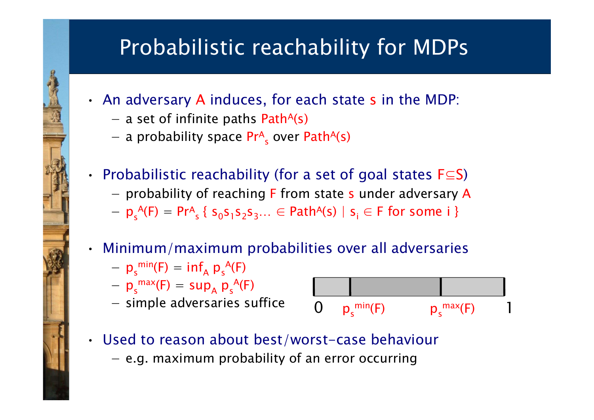### Probabilistic reachability for MDPs

- An adversary A induces, for each state s in the MDP:
	- $-$  a set of infinite paths Path<sup>A(s)</sup>
	- a probability space Pr<sup>a</sup><sub>s</sub> over Path<sup>a</sup>(s)

#### • Probabilistic reachability (for a set of goal states  $F \subseteq S$ )

- probability of reaching F from state s under adversary A
- $p_s^A(F) = Pr^A_s$  {  $s_0s_1s_2s_3...$  ∈ Path<sup>A</sup>(s) |  $s_i$  ∈ F for some i }
- Minimum/maximum probabilities over all adversaries
	- $-p_s^{\min}(F) = \inf_A p_s^{\{A\}}(F)$
	- $-p_s^{\text{max}}(F) = \text{sup}_{A} p_s^{\text{A}}(F)$
	- simple adversaries suffice



- Used to reason about best/worst-case behaviour
	- e.g. maximum probability of an error occurring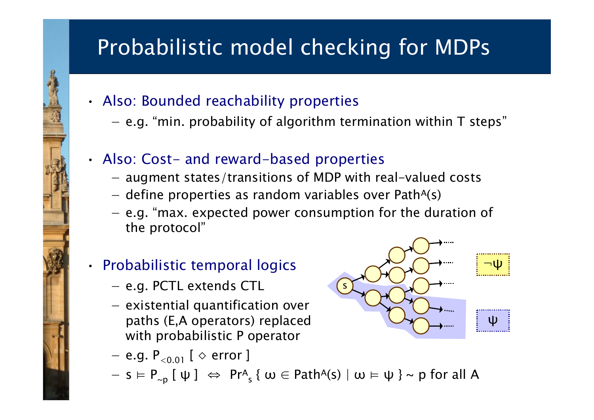### Probabilistic model checking for MDPs

- Also: Bounded reachability properties
	- − $-$  e.g. "min. probability of algorithm termination within T steps"
- Also: Cost- and reward-based properties
	- −- augment states/transitions of MDP with real-valued costs
	- − $-$  define properties as random variables over Path<sup>A(s)</sup>
	- −– e.g. "max. expected power consumption for the duration of the protocol"

#### • Probabilistic temporal logics

- e.g. PCTL extends CTL
- $-$  existential quantification over paths (E,A operators) replaced with probabilistic P operator
- $-$  e.g.  $\mathsf{P}_{< 0.01}$  [  $\diamond$  error ]
- $-$  s  $\vdash$  P<sub>∼p</sub> [ ψ ]  $\Leftrightarrow$  Pr<sup>A</sup><sub>s</sub> { ω ∈ Path<sup>A</sup>(s) | ω  $\vdash$  ψ } ~ p for all A

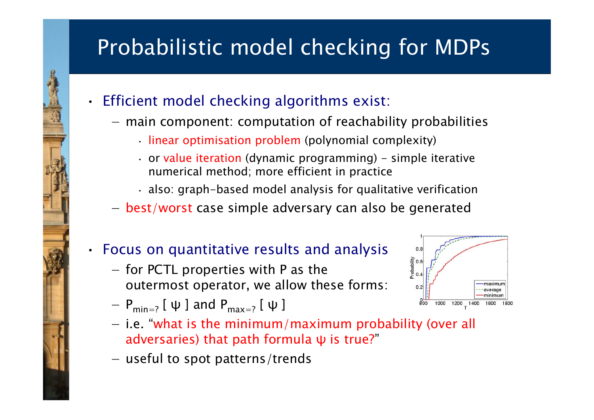# Probabilistic model checking for MDPs

- • Efficient model checking algorithms exist:
	- −- main component: computation of reachability probabilities
		- linear optimisation problem (polynomial complexity)
		- or value iteration (dynamic programming) simple iterative numerical method; more efficient in practice
		- also: graph-based model analysis for qualitative verification
	- best/worst case simple adversary can also be generated

#### • Focus on quantitative results and analysis

- $-$  for PCTL properties with P as the outermost operator, we allow these forms:
- $-$  P<sub>min=?</sub> [ ψ ] and P<sub>max=?</sub> [ ψ ]
- $-$  i.e. "what is the minimum/maximum probability (over all adversaries) that path formula ψ is true? "
- useful to spot patterns/trends

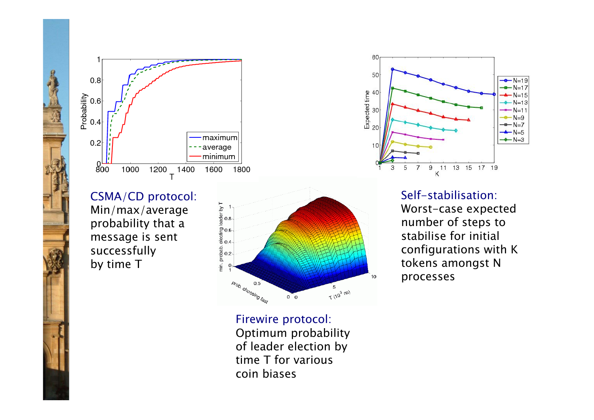

CSMA/CD protocol: Min/max/average probability that a message is sent successfully by time T



Firewire protocol: Optimum probability of leader election by time T for various coin biases



Self-stabilisation:Worst-case expected number of steps to stabilise for initial configurations with K tokens amongst N processes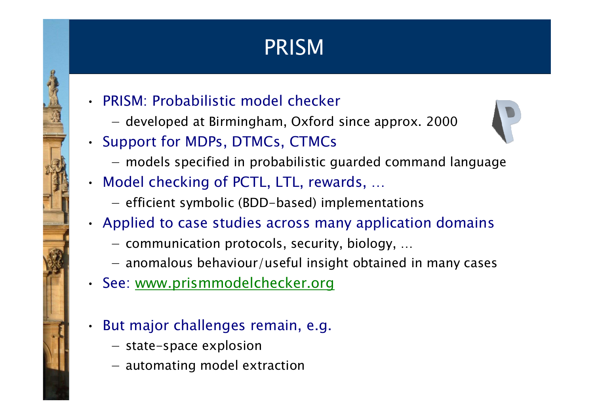# PRISM

- PRISM: Probabilistic model checker
	- −developed at Birmingham, Oxford since approx. 2000
- Support for MDPs, DTMCs, CTMCs



- models specified in probabilistic guarded command language
- Model checking of PCTL, LTL, rewards, …
	- efficient symbolic (BDD-based) implementations
- Applied to case studies across many application domains
	- $-$  communication protocols, security, biology, ...
	- anomalous behaviour/useful insight obtained in many cases
- See: www.prismmodelchecker.org
	- But major challenges remain, e.g.
		- state-space explosion

•

- automating model extraction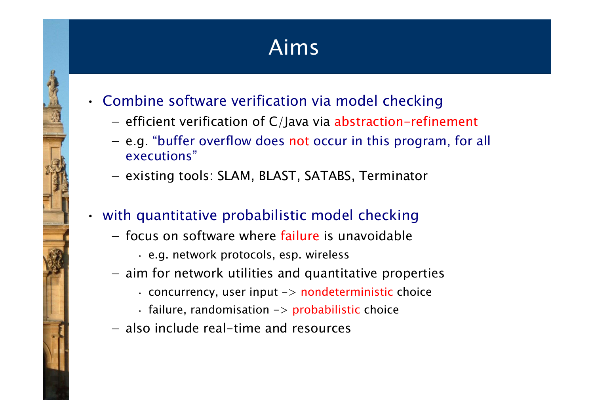## Aims

- Combine software verification via model checking
	- − efficient verification of C/Java via abstraction-refinement
	- e.g. "buffer overflow does not occur in this program, for all executions"
	- existing tools: SLAM, BLAST, SATABS, Terminator

#### • with quantitative probabilistic model checking

- − focus on software where failure is unavoidable
	- e.g. network protocols, esp. wireless
- $-$  aim for network utilities and quantitative properties
	- $\cdot$  concurrency, user input  $\rightarrow$  nondeterministic choice
	- failure, randomisation -> probabilistic choice
- − also include real-time and resources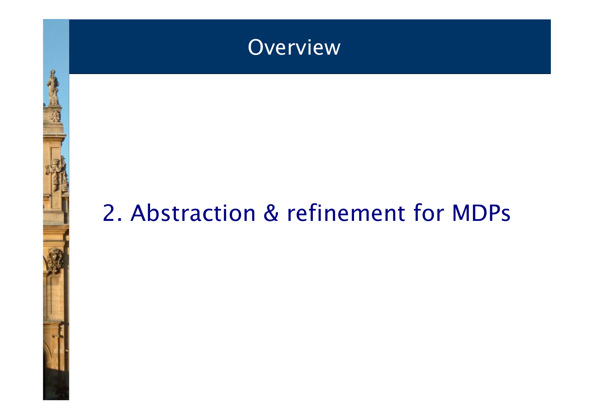

# 2. Abstraction & refinement for MDPs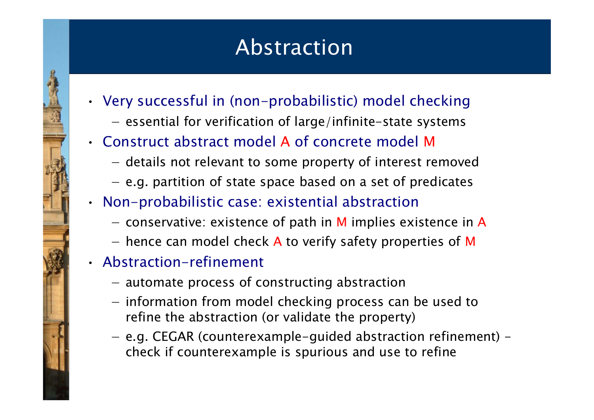### Abstraction

- Very successful in (non-probabilistic) model checking
	- − $-$  essential for verification of large/infinite-state systems
- Construct abstract model A of concrete model M
	- details not relevant to some property of interest removed
	- $-$  e.g. partition of state space based on a set of predicates
- Non-probabilistic case: existential abstraction
	- $-$  conservative: existence of path in M implies existence in A
	- hence can model check A to verify safety properties of M
- Abstraction-refinement
	- automate process of constructing abstraction
	- information from model checking process can be used to refine the abstraction (or validate the property)
	- e.g. CEGAR (counterexample-guided abstraction refinement) check if counterexample is spurious and use to refine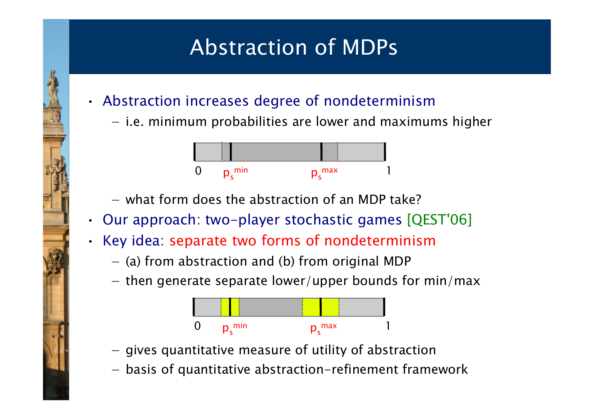### Abstraction of MDPs

- Abstraction increases degree of nondeterminism
	- − $-$  i.e. minimum probabilities are lower and maximums higher



- − what form does the abstraction of an MDP take?
- Our approach: two-player stochastic games [QEST'06]
- Key idea: separate two forms of nondeterminism
	- $-$  (a) from abstraction and (b) from original MDP
	- $-$  then generate separate lower/upper bounds for min/max



- gives quantitative measure of utility of abstraction
- basis of quantitative abstraction-refinement framework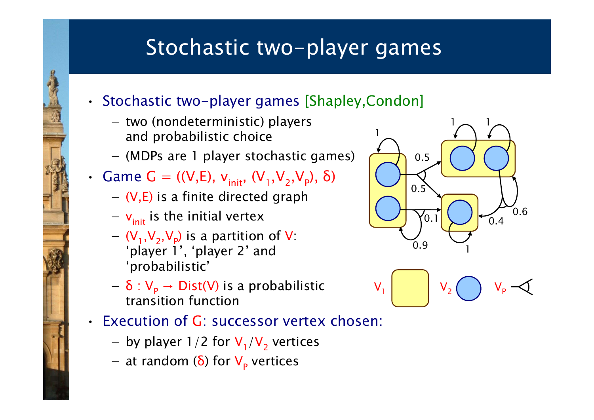#### Stochastic two-player games

- Stochastic two-player games [Shapley,Condon]
	- −- two (nondeterministic) players and probabilistic choice
	- (MDPs are 1 player stochastic games)
- Game G = ((V, E),  $v_{init}$ , (V<sub>1</sub>, V<sub>2</sub>, V<sub>p</sub>), δ)
	- $-$  (V,E) is a finite directed graph
	- − v<sub>init</sub> is the initial vertex
	- $-(V_1, V_2, V_p)$  is a partition of V: 'player 1', 'player 2' and 'probabilistic'
	- − δ : V P→ Dist(V) is a probabilistic transition function
- Execution of G: successor vertex chosen:
	- by player  $1/2$  for  $V_1/V_2$  vertices
	- at random (**δ**) for V<sub>P</sub> vertices



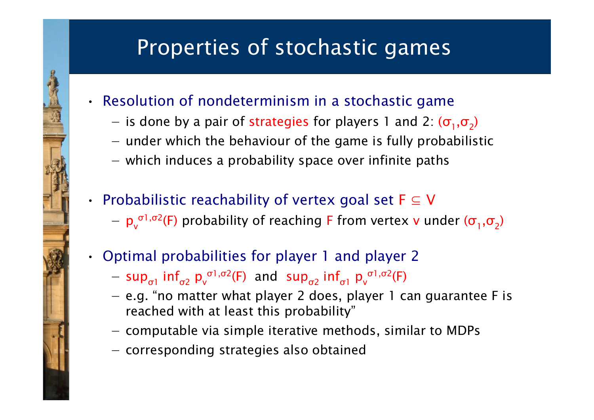#### Properties of stochastic games

- Resolution of nondeterminism in a stochastic game
	- −– is done by a pair of strategies for players 1 and 2:  $(\sigma_1,\sigma_2)$
	- $-$  under which the behaviour of the game is fully probabilistic
	- which induces a probability space over infinite paths
- Probabilistic reachability of vertex goal set  $F \subseteq V$ 
	- $-$  p<sub>v</sub> <sup>σ1,σ2</sup>(F) probability of reaching F from vertex **v** under ( $\sigma^{}_1,\sigma^{}_2$ )
- Optimal probabilities for player 1 and player 2
	- $-$  sup<sub> $\sigma$ 1</sub> inf<sub> $\sigma$ 2</sub> p<sub>v</sub> <sup>σ1,σ2</sup>(F) and sup<sub>σ2</sub> inf<sub>σ1</sub> p<sub>v</sub> <sup>σ</sup>1, σ 2(F)
	- $-$  e.g. "no matter what player 2 does, player 1 can guarantee F is reached with at least this probability"
	- computable via simple iterative methods, similar to MDPs
	- corresponding strategies also obtained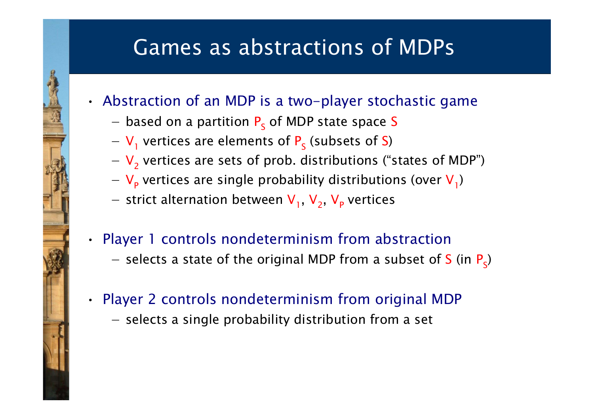#### Games as abstractions of MDPs

- Abstraction of an MDP is a two-player stochastic game
	- − $-$  based on a partition  $P_{\scriptscriptstyle \mathsf{S}}$  of MDP state space S
	- $-$  V<sub>1</sub> vertices are elements of P<sub>s</sub> (subsets of S)
	- − V 2 vertices are sets of prob. distributions ("states of MDP")
	- V<sub>p</sub> vertices are single probability distributions (over V<sub>1</sub>)
	- − strict alternation between V<sub>1</sub>, V<sub>2</sub>, V<sub>P</sub> vertices

#### • Player 1 controls nondeterminism from abstraction

– selects a state of the original MDP from a subset of S (in  $P_s$ )

#### • Player 2 controls nondeterminism from original MDP

 $-$  selects a single probability distribution from a set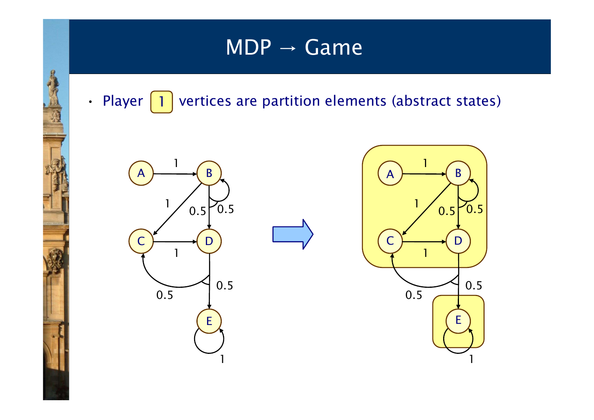• Player | 1 | vertices are partition elements (abstract states)



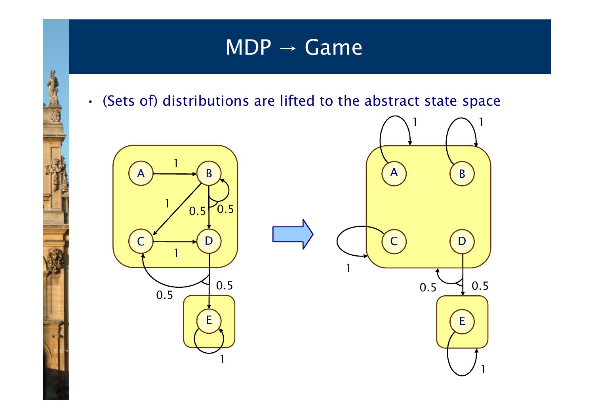• (Sets of) distributions are lifted to the abstract state space

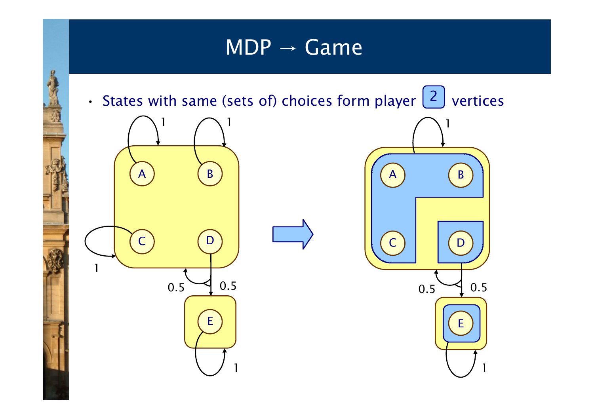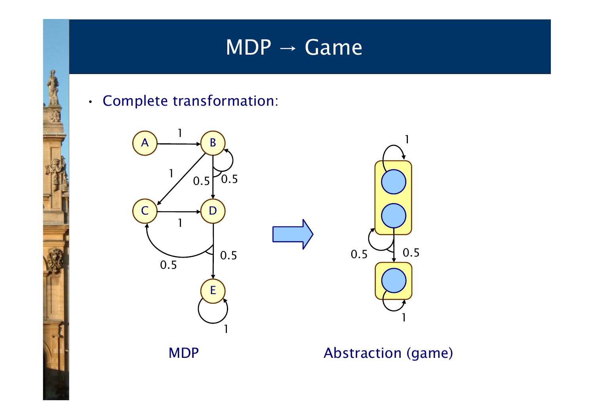





MDP Abstraction (game)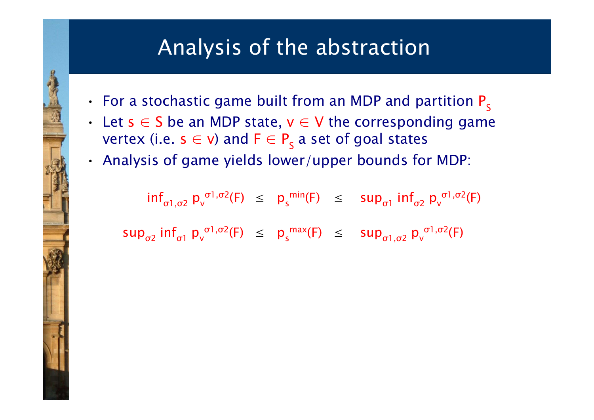- For a stochastic game built from an MDP and partition  $P_s$
- Let  $s \in S$  be an MDP state,  $v \in V$  the corresponding game vertex (i.e.  $\mathsf{s}\in\mathsf{v}$ ) and  $\mathsf{F}\in\mathsf{P}_\mathsf{S}$  a set of goal states
- Analysis of game yields lower/upper bounds for MDP:

inf $_{\sigma1,\sigma2}$  p $_{\sf v}$ <sup>σ1,σ2</sup>(F)  $\leq$   $p_{s}^{min}(F)$   $\leq$   $sup_{\sigma1}$  inf<sub>σ2</sub>  $p_{v}$ <sup>σ</sup>1, σ 2(F)

sup<sub>σ2</sub> inf<sub>σ1</sub> p<sub>v</sub> σ $\sigma$ 1,σ2 $(F)$   $\leq$   $p_s^{\text{max}}(F)$   $\leq$   $\sup_{\sigma_1,\sigma_2} p_v^{\sigma_1}$ <sup>σ</sup>1, σ 2(F)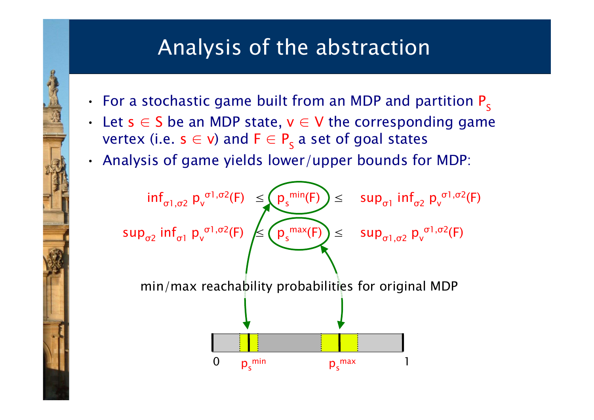- For a stochastic game built from an MDP and partition  $P_s$
- Let  $s \in S$  be an MDP state,  $v \in V$  the corresponding game vertex (i.e.  $\mathsf{s}\in\mathsf{v}$ ) and  $\mathsf{F}\in\mathsf{P}_\mathsf{S}$  a set of goal states
- Analysis of game yields lower/upper bounds for MDP:

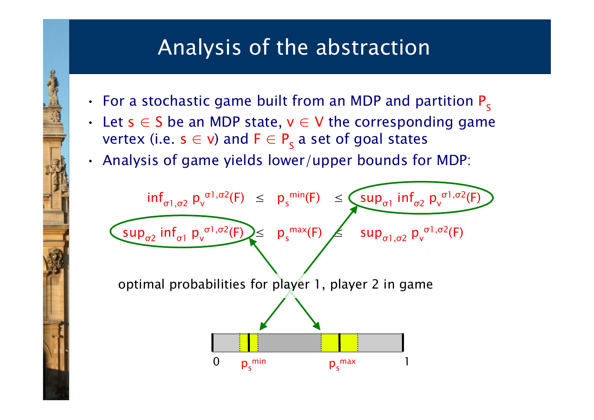- For a stochastic game built from an MDP and partition  $P_s$
- Let  $s \in S$  be an MDP state,  $v \in V$  the corresponding game vertex (i.e.  $\mathsf{s}\in\mathsf{v}$ ) and  $\mathsf{F}\in\mathsf{P}_\mathsf{S}$  a set of goal states
- Analysis of game yields lower/upper bounds for MDP:

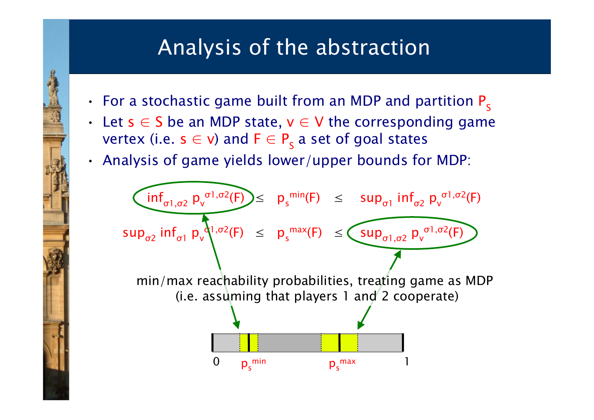- For a stochastic game built from an MDP and partition  $P_s$
- Let  $s \in S$  be an MDP state,  $v \in V$  the corresponding game vertex (i.e.  $\mathsf{s}\in\mathsf{v}$ ) and  $\mathsf{F}\in\mathsf{P}_\mathsf{S}$  a set of goal states
- Analysis of game yields lower/upper bounds for MDP:

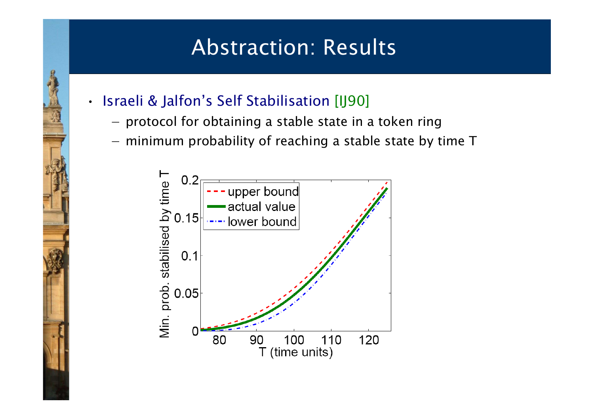#### Abstraction: Results

Israeli & Jalfon's Self Stabilisation [IJ90]

•

- −- protocol for obtaining a stable state in a token ring
- $-$  minimum probability of reaching a stable state by time T

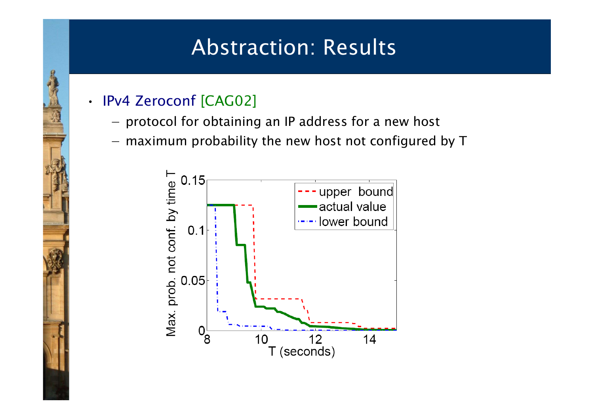#### Abstraction: Results

#### •IPv4 Zeroconf [CAG02]

- −- protocol for obtaining an IP address for a new host
- $-$  maximum probability the new host not configured by T

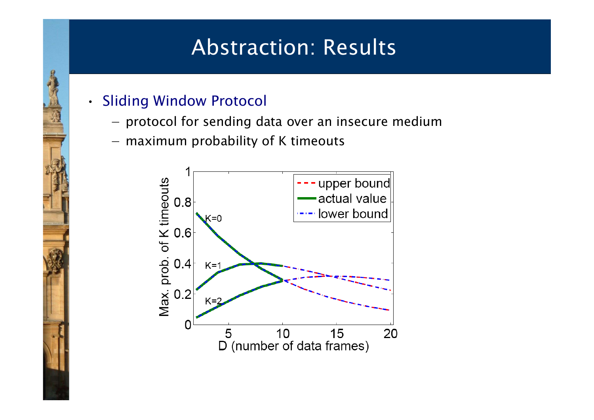#### Abstraction: Results

#### • Sliding Window Protocol

- −- protocol for sending data over an insecure medium
- maximum probability of K timeouts

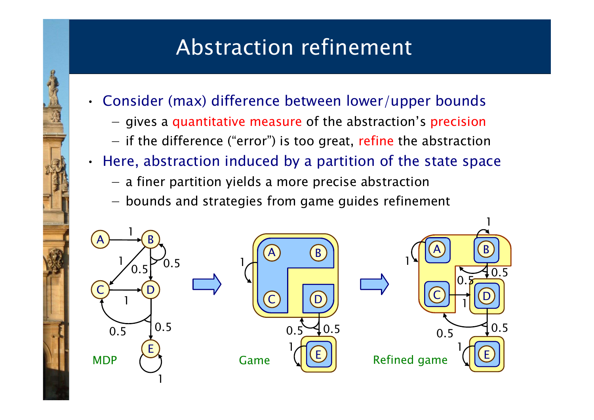### Abstraction refinement

- Consider (max) difference between lower/upper bounds
	- −- gives a quantitative measure of the abstraction's precision
	- if the difference ("error") is too great, refine the abstraction
- • Here, abstraction induced by a partition of the state space
	- a finer partition yields a more precise abstraction
	- $-$  bounds and strategies from game guides refinement

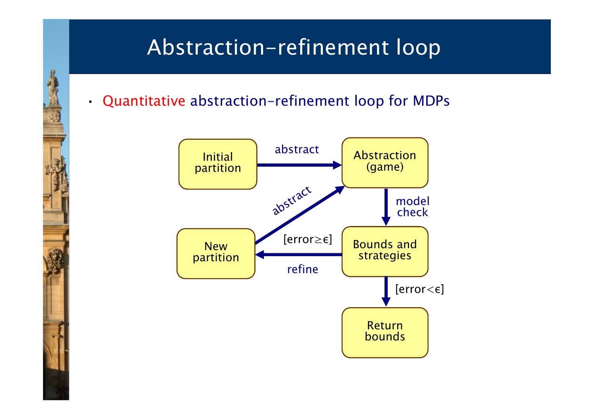## Abstraction-refinement loop

•Quantitative abstraction-refinement loop for MDPs



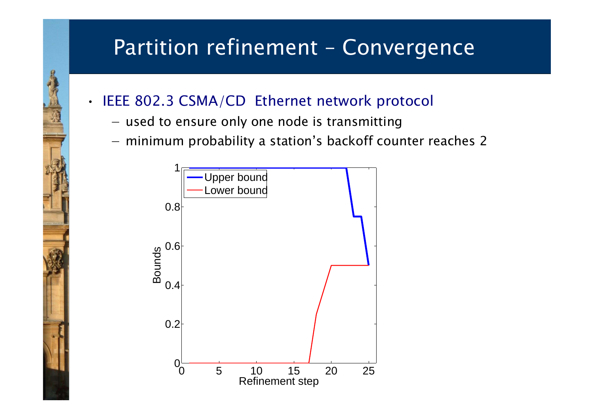#### Partition refinement – Convergence

#### IEEE 802.3 CSMA/CD Ethernet network protocol

− $-$  used to ensure only one node is transmitting

•

- minimum probability a station's backoff counter reaches 2

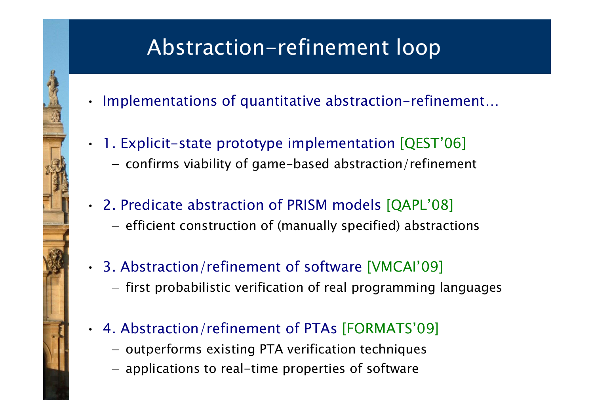# Abstraction-refinement loop

- Implementations of quantitative abstraction-refinement…
- 1. Explicit-state prototype implementation [QEST'06]
	- −- confirms viability of game-based abstraction/refinement
- 2. Predicate abstraction of PRISM models [QAPL'08] - efficient construction of (manually specified) abstractions
- 3. Abstraction/refinement of software [VMCAI'09]  $-$  first probabilistic verification of real programming languages
- 4. Abstraction/refinement of PTAs [FORMATS'09]
	- outperforms existing PTA verification techniques
	- applications to real-time properties of software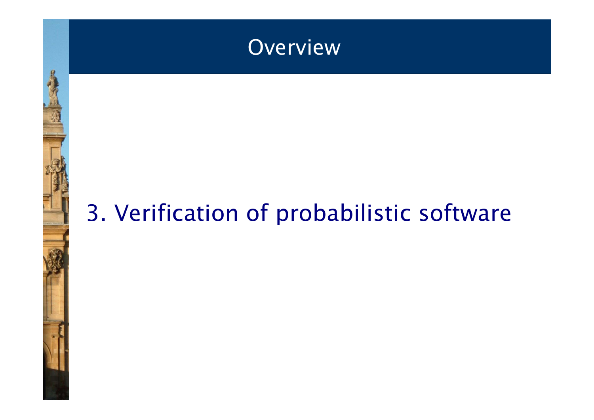

# 3. Verification of probabilistic software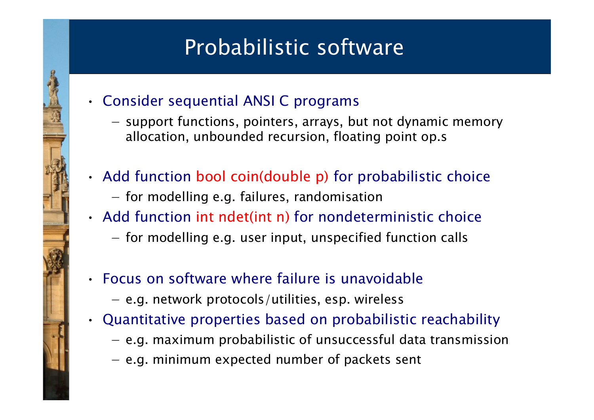## Probabilistic software

- Consider sequential ANSI C programs
	- −- support functions, pointers, arrays, but not dynamic memory allocation, unbounded recursion, floating point op.s
- Add function bool coin(double p) for probabilistic choice
	- $-$  for modelling e.g. failures, randomisation
- Add function int ndet(int n) for nondeterministic choice
	- $-$  for modelling e.g. user input, unspecified function calls
- Focus on software where failure is unavoidable
	- e.g. network protocols/utilities, esp. wireless
- • Quantitative properties based on probabilistic reachability
	- e.g. maximum probabilistic of unsuccessful data transmission
	- e.g. minimum expected number of packets sent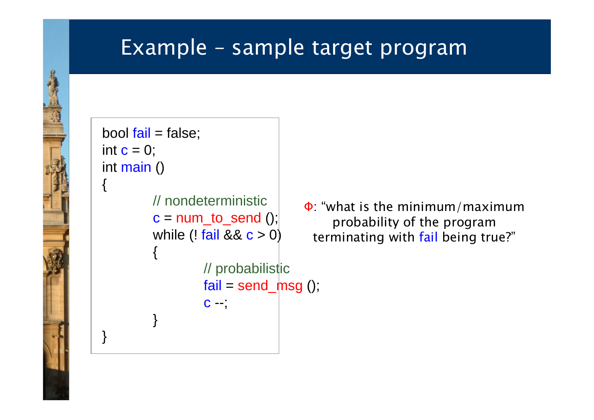#### Example – sample target program

```
bool fail = false;int \mathbf{c} = 0;int main ()
{
          // nondeterministicc = num_to\_send();
          while (l \text{ fail } 88 \text{ c} > 0){
                    // probabilistic
                    fail = send_{msg}();c -;
          }
}
```
Φ: "what is the minimum/maximum probability of the program terminating with fail being true?"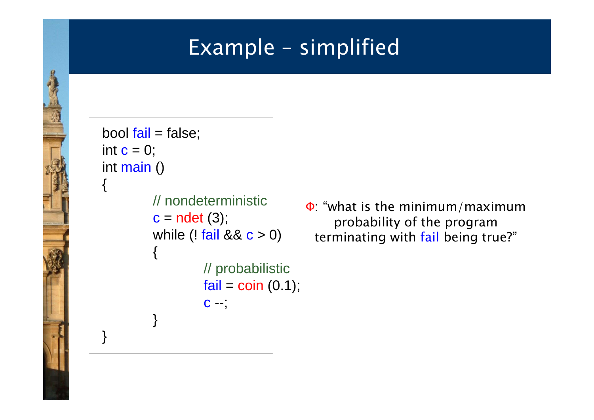#### Example – simplified

```
bool fail = false;int \mathbf{c} = 0;int main ()
{
          // nondeterministic
          c = ndet (3);
          while (! fail 88 c > 0)
          {
                   // probabilistic
                    fail = coin (0.1);
                    c -;}
}
```
Φ: "what is the minimum/maximum probability of the program terminating with fail being true?"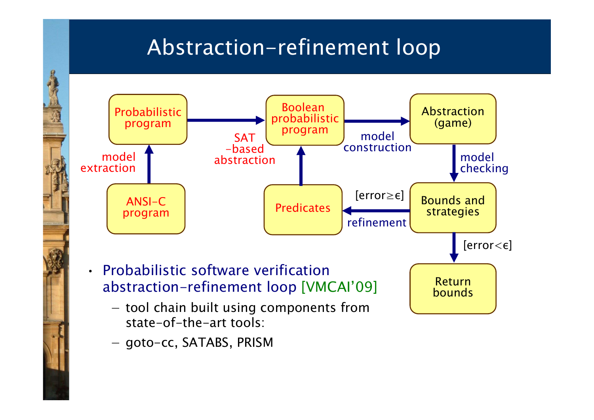## Abstraction-refinement loop



− goto-cc, SATABS, PRISM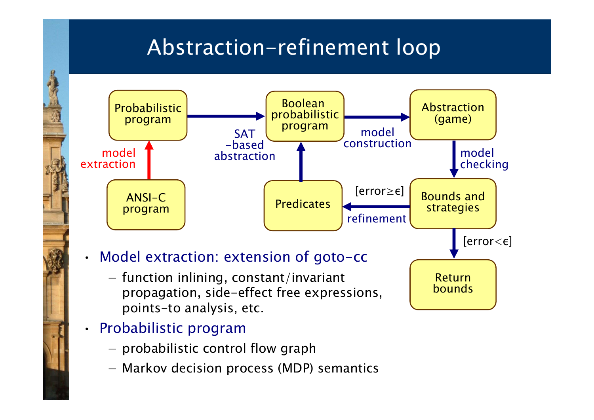## Abstraction-refinement loop



- Probabilistic program
	- $-$  probabilistic control flow graph
	- Markov decision process (MDP) semantics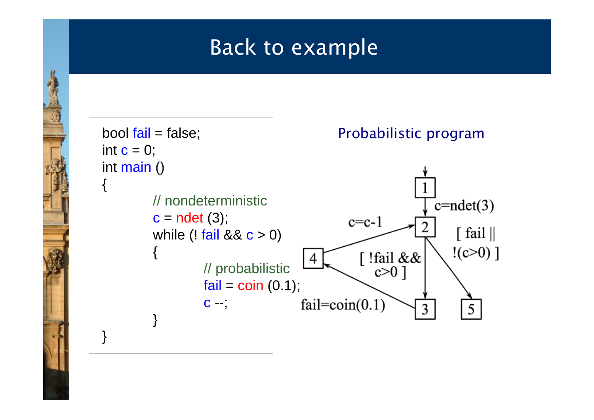#### Back to example

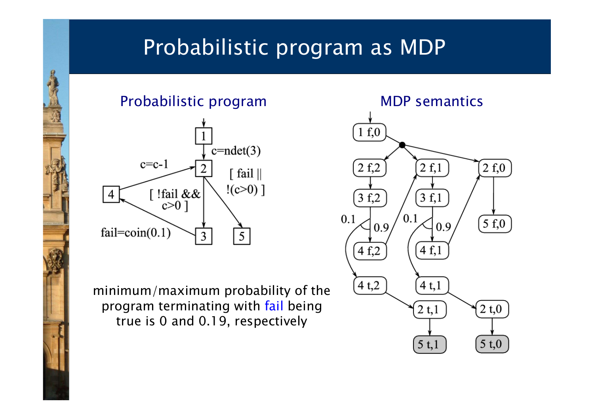#### Probabilistic program as MDP





minimum/maximum probability of the program terminating with fail being true is 0 and 0.19, respectively

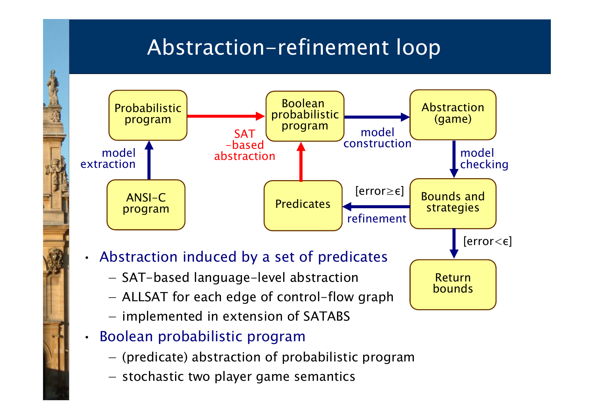### Abstraction-refinement loop



- implemented in extension of SATABS
- • Boolean probabilistic program
	- (predicate) abstraction of probabilistic program
	- stochastic two player game semantics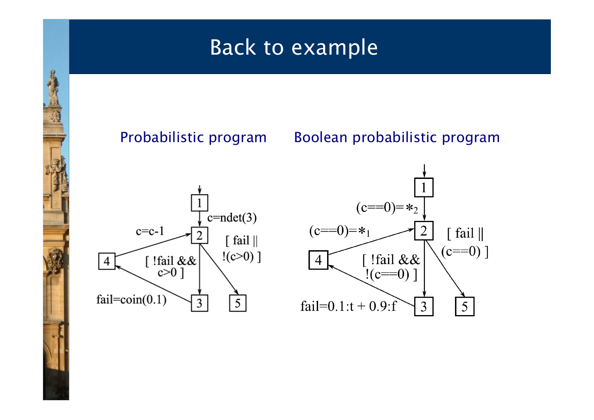#### Back to example

Probabilistic program Boolean probabilistic program



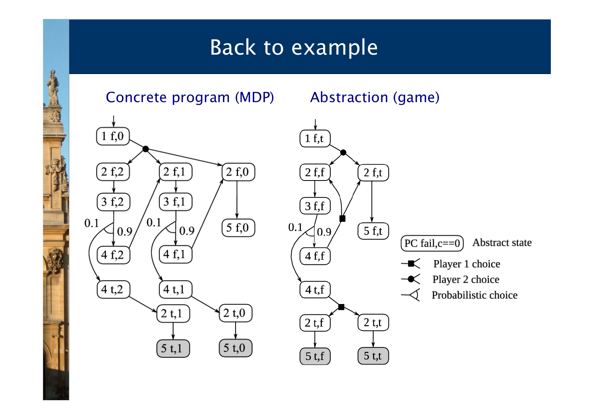#### Back to example

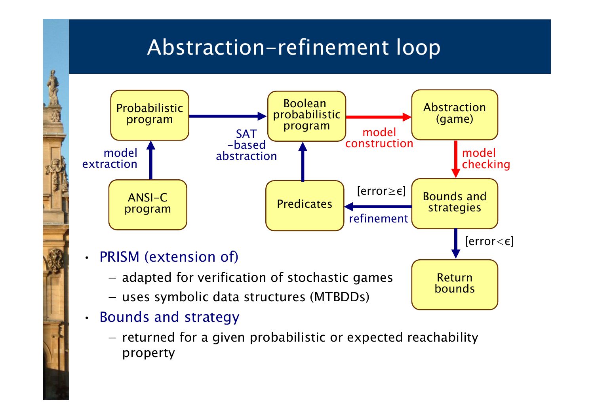### Abstraction-refinement loop



- • Bounds and strategy
	- $-$  returned for a given probabilistic or expected reachability property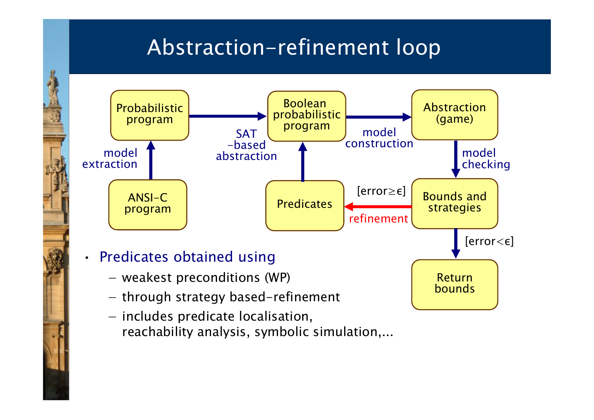### Abstraction-refinement loop



reachability analysis, symbolic simulation,...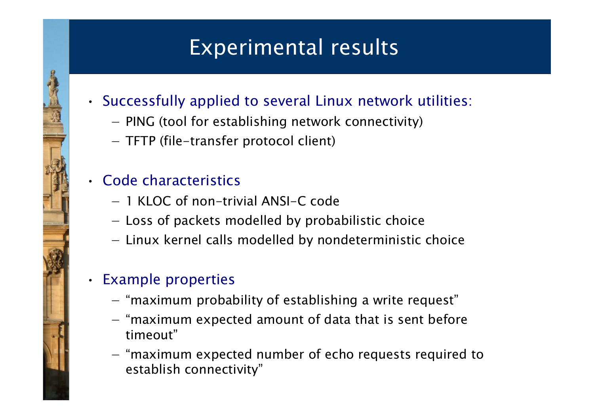## Experimental results

#### • Successfully applied to several Linux network utilities:

- −- PING (tool for establishing network connectivity)
- TFTP (file-transfer protocol client)

#### • Code characteristics

- − 1 KLOC of non-trivial ANSI-C code
- Loss of packets modelled by probabilistic choice
- Linux kernel calls modelled by nondeterministic choice

#### • Example properties

- "maximum probability of establishing a write request"
- $-$  "maximum expected amount of data that is sent before timeout"
- "maximum expected number of echo requests required to establish connectivity"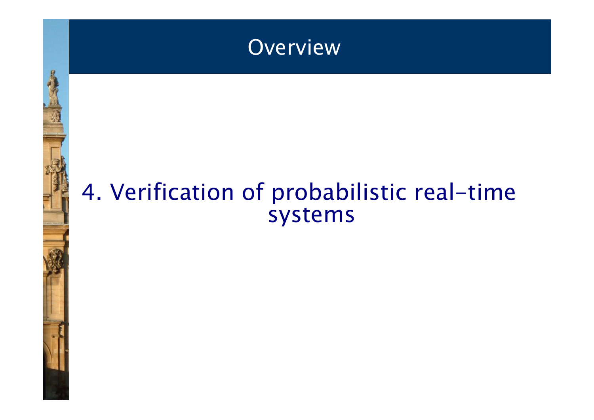

# 4. Verification of probabilistic real-time systems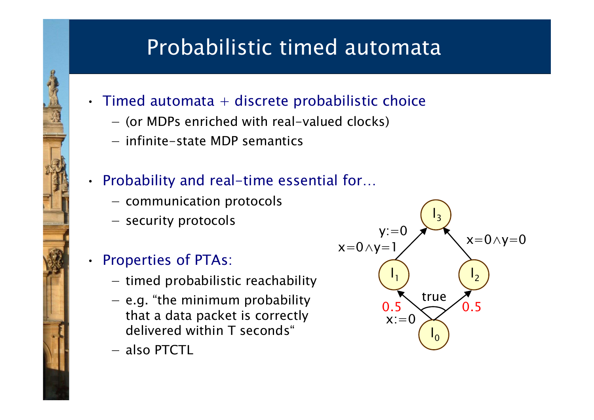### Probabilistic timed automata

- $\cdot$  Timed automata  $+$  discrete probabilistic choice
	- − (or MDPs enriched with real-valued clocks)
	- − infinite-state MDP semantics

#### • Probability and real-time essential for…

- communication protocols
- security protocols

#### Properties of PTAs:

•

- timed probabilistic reachability
- $-$  e.g. "the minimum probability that a data packet is correctly delivered within T seconds"
- − also PTCTL

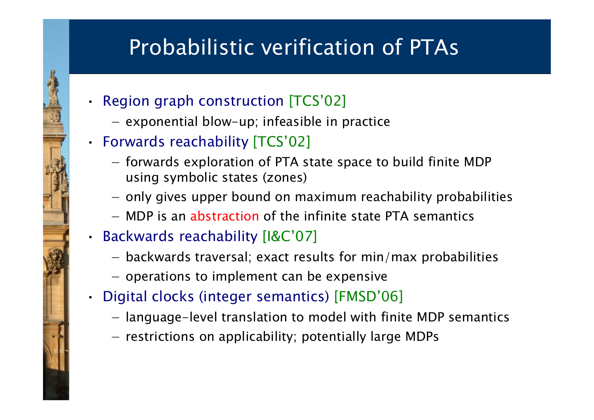### Probabilistic verification of PTAs

- Region graph construction [TCS'02]
	- − $-$  exponential blow-up; infeasible in practice
- Forwards reachability [TCS'02]
	- forwards exploration of PTA state space to build finite MDP using symbolic states (zones)
	- only gives upper bound on maximum reachability probabilities
	- − MDP is an abstraction of the infinite state PTA semantics
- Backwards reachability [I&C'07]

•

- backwards traversal; exact results for min/max probabilities
- $-$  operations to implement can be expensive
- Digital clocks (integer semantics) [FMSD'06]
	- language-level translation to model with finite MDP semantics
	- restrictions on applicability; potentially large MDPs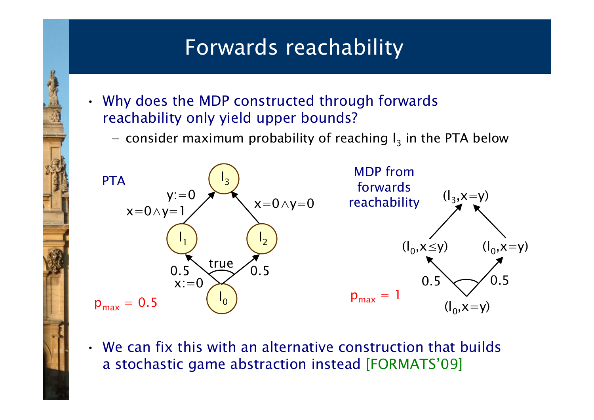### Forwards reachability

- Why does the MDP constructed through forwards reachability only yield upper bounds?
	- −- consider maximum probability of reaching  $I_3$  in the PTA below



• We can fix this with an alternative construction that builds a stochastic game abstraction instead [FORMATS'09]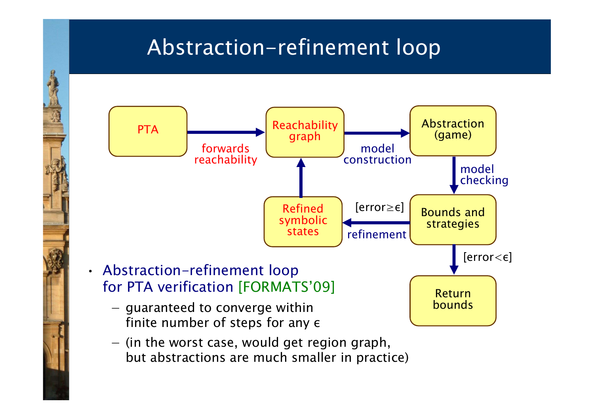### Abstraction-refinement loop



 $-$  (in the worst case, would get region graph, but abstractions are much smaller in practice)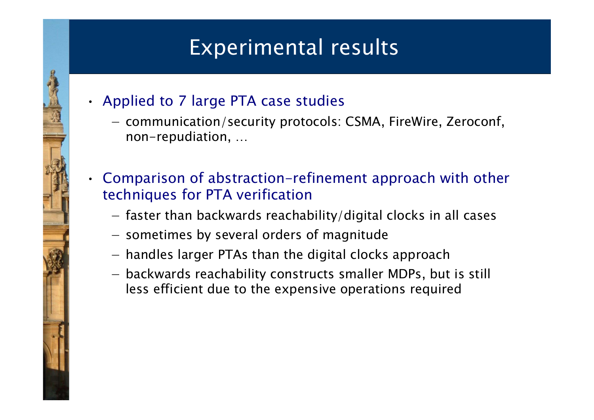#### Experimental results

- Applied to 7 large PTA case studies
	- −- communication/security protocols: CSMA, FireWire, Zeroconf, non-repudiation, …
- Comparison of abstraction-refinement approach with other techniques for PTA verification
	- faster than backwards reachability/digital clocks in all cases
	- sometimes by several orders of magnitude
	- handles larger PTAs than the digital clocks approach
	- backwards reachability constructs smaller MDPs, but is still less efficient due to the expensive operations required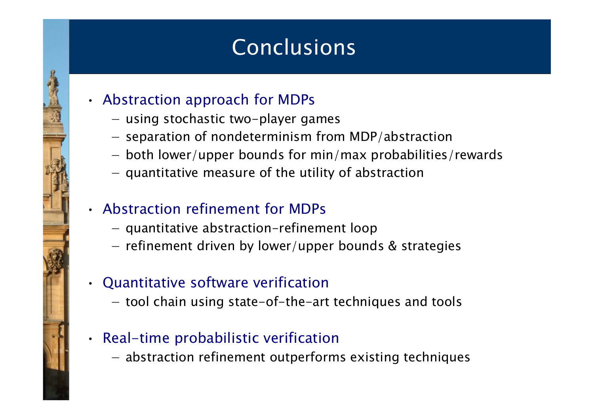### Conclusions

- Abstraction approach for MDPs
	- using stochastic two-player games
	- $-$  separation of nondeterminism from MDP/abstraction
	- both lower/upper bounds for min/max probabilities/rewards
	- $-$  quantitative measure of the utility of abstraction

#### • Abstraction refinement for MDPs

- quantitative abstraction-refinement loop
- $-$  refinement driven by lower/upper bounds & strategies

#### • Quantitative software verification

- tool chain using state-of-the-art techniques and tools

#### • Real-time probabilistic verification

- abstraction refinement outperforms existing techniques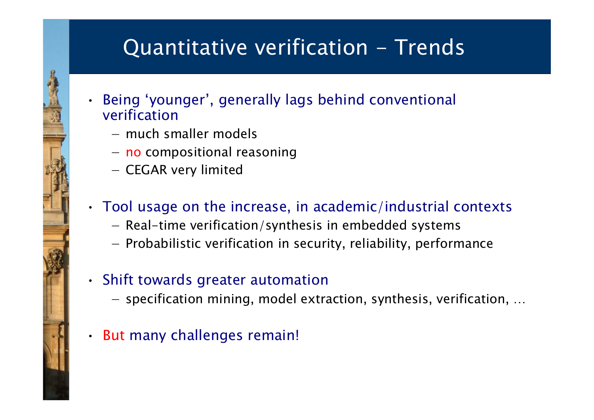### Quantitative verification - Trends

- Being 'younger', generally lags behind conventional verification
	- − much smaller models

•

- no compositional reasoning
- CEGAR very limited

#### • Tool usage on the increase, in academic/industrial contexts

- Real-time verification/synthesis in embedded systems
- Probabilistic verification in security, reliability, performance

#### • Shift towards greater automation

- $-$  specification mining, model extraction, synthesis, verification, ...
- But many challenges remain!